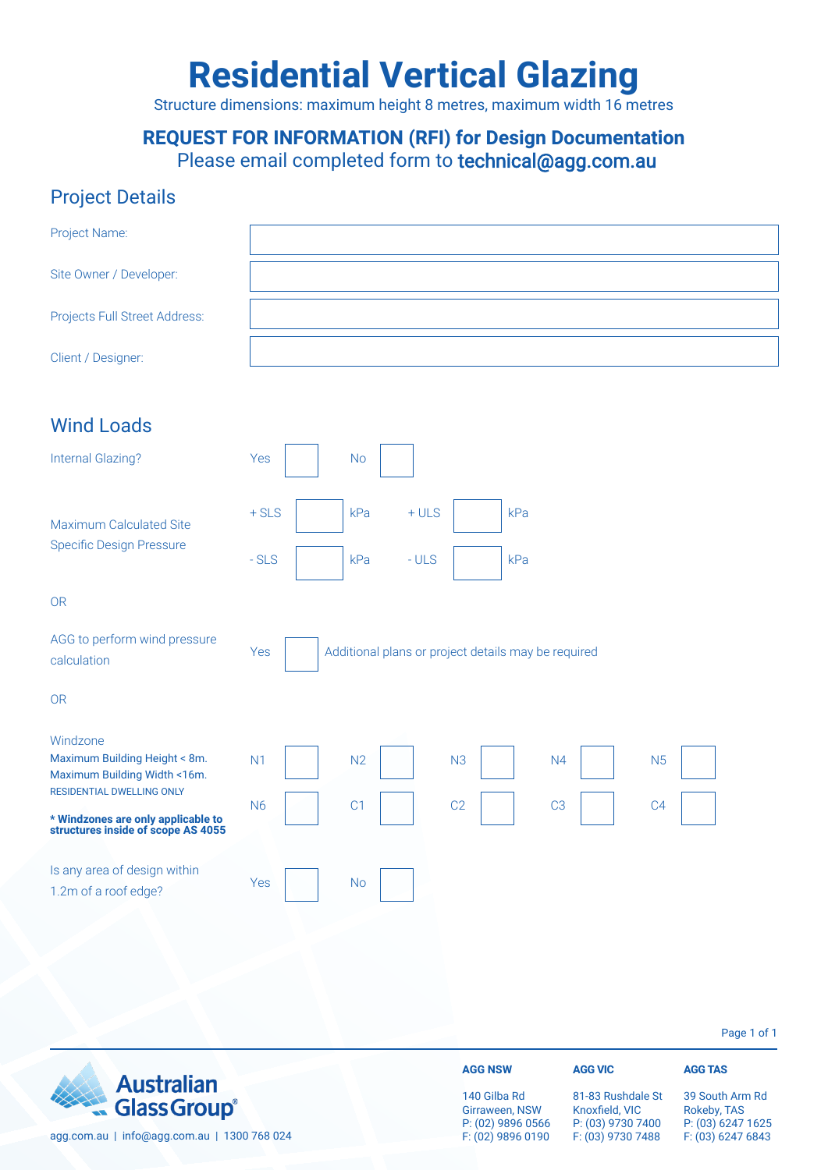# **Residential Vertical Glazing**

Structure dimensions: maximum height 8 metres, maximum width 16 metres

#### **REQUEST FOR INFORMATION (RFI) for Design Documentation** Please email completed form to technical@agg.com.au

#### Project Details

| Project Name:                                                                                                |                                                                                        |
|--------------------------------------------------------------------------------------------------------------|----------------------------------------------------------------------------------------|
| Site Owner / Developer:                                                                                      |                                                                                        |
| Projects Full Street Address:                                                                                |                                                                                        |
| Client / Designer:                                                                                           |                                                                                        |
| <b>Wind Loads</b>                                                                                            |                                                                                        |
| <b>Internal Glazing?</b>                                                                                     | Yes<br><b>No</b>                                                                       |
| Maximum Calculated Site<br><b>Specific Design Pressure</b>                                                   | $+$ SLS<br>kPa<br>$+ULS$<br>kPa                                                        |
|                                                                                                              | $-SLS$<br>kPa<br>$-ULS$<br>kPa                                                         |
| <b>OR</b>                                                                                                    |                                                                                        |
| AGG to perform wind pressure<br>calculation                                                                  | Additional plans or project details may be required<br>Yes                             |
| <b>OR</b>                                                                                                    |                                                                                        |
| Windzone<br>Maximum Building Height < 8m.<br>Maximum Building Width <16m.                                    | N <sub>1</sub><br>N <sub>2</sub><br>N <sub>3</sub><br>N <sub>5</sub><br>N <sub>4</sub> |
| <b>RESIDENTIAL DWELLING ONLY</b><br>* Windzones are only applicable to<br>structures inside of scope AS 4055 | C1<br>C <sub>2</sub><br><b>N6</b><br>C <sub>3</sub><br>C <sub>4</sub>                  |
| Is any area of design within<br>1.2m of a roof edge?                                                         | Yes<br><b>No</b>                                                                       |
|                                                                                                              |                                                                                        |

Page 1 of 1

|                                             | <b>AGG NSW</b>                 |
|---------------------------------------------|--------------------------------|
| Australian                                  | 140 Gilbal<br>Girraween,       |
| agg.com.au   info@agg.com.au   1300 768 024 | $P: (02)$ 989<br>$F: (02)$ 989 |

81-83 Rushdale St Knoxfield, VIC P: (03) 9730 7400 F: (03) 9730 7488

**AGG VIC**

**AGG TAS**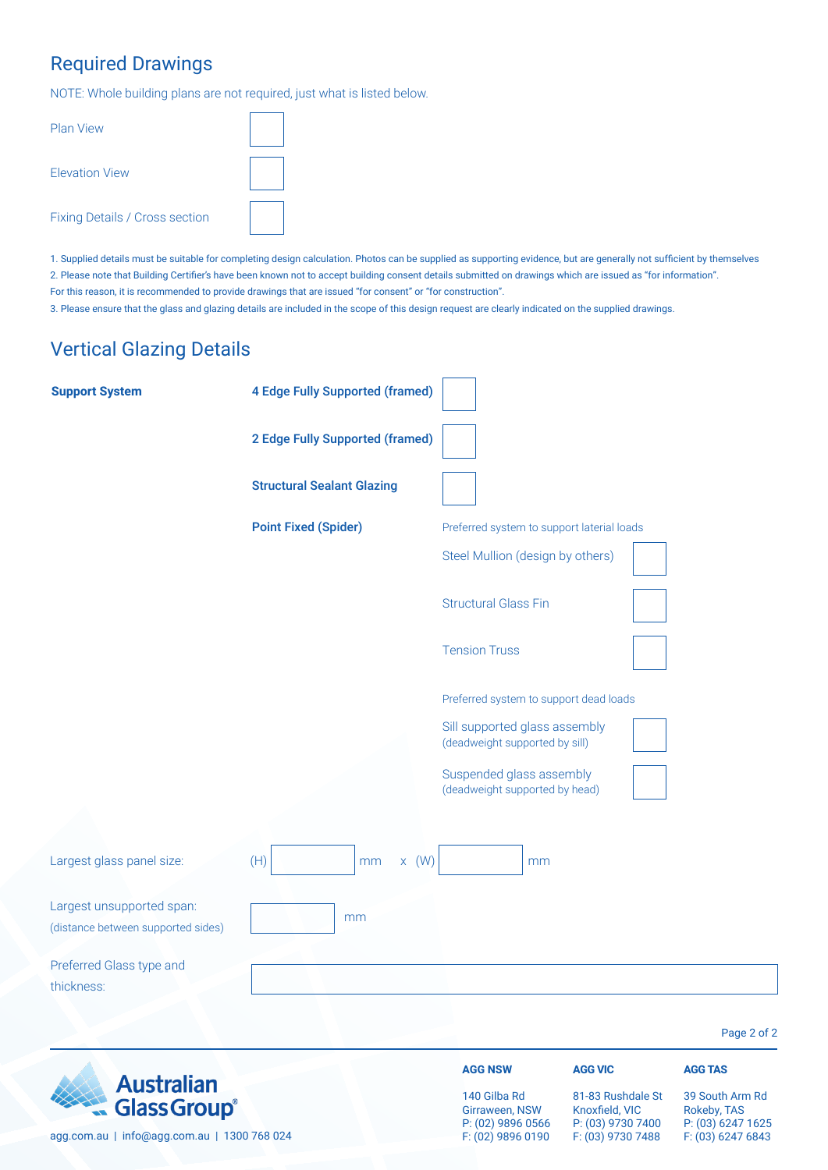## Required Drawings

NOTE: Whole building plans are not required, just what is listed below.

| <b>Plan View</b>               |  |
|--------------------------------|--|
| <b>Flevation View</b>          |  |
| Fixing Details / Cross section |  |

1. Supplied details must be suitable for completing design calculation. Photos can be supplied as supporting evidence, but are generally not sufficient by themselves 2. Please note that Building Certifier's have been known not to accept building consent details submitted on drawings which are issued as "for information". For this reason, it is recommended to provide drawings that are issued "for consent" or "for construction".

3. Please ensure that the glass and glazing details are included in the scope of this design request are clearly indicated on the supplied drawings.

## Vertical Glazing Details

| <b>Support System</b>                                                                   | <b>4 Edge Fully Supported (framed)</b> |                                                                          |                                                                               |                                                                          |
|-----------------------------------------------------------------------------------------|----------------------------------------|--------------------------------------------------------------------------|-------------------------------------------------------------------------------|--------------------------------------------------------------------------|
|                                                                                         | <b>2 Edge Fully Supported (framed)</b> |                                                                          |                                                                               |                                                                          |
|                                                                                         | <b>Structural Sealant Glazing</b>      |                                                                          |                                                                               |                                                                          |
|                                                                                         | <b>Point Fixed (Spider)</b>            | Preferred system to support laterial loads                               |                                                                               |                                                                          |
|                                                                                         |                                        | Steel Mullion (design by others)                                         |                                                                               |                                                                          |
|                                                                                         |                                        | <b>Structural Glass Fin</b>                                              |                                                                               |                                                                          |
|                                                                                         |                                        | <b>Tension Truss</b>                                                     |                                                                               |                                                                          |
|                                                                                         |                                        | Preferred system to support dead loads                                   |                                                                               |                                                                          |
|                                                                                         |                                        | Sill supported glass assembly<br>(deadweight supported by sill)          |                                                                               |                                                                          |
|                                                                                         |                                        | Suspended glass assembly<br>(deadweight supported by head)               |                                                                               |                                                                          |
|                                                                                         |                                        |                                                                          |                                                                               |                                                                          |
| Largest glass panel size:                                                               | (H)<br>$x \quad (W)$<br>mm             | mm                                                                       |                                                                               |                                                                          |
| Largest unsupported span:<br>(distance between supported sides)                         | mm                                     |                                                                          |                                                                               |                                                                          |
| Preferred Glass type and<br>thickness:                                                  |                                        |                                                                          |                                                                               |                                                                          |
|                                                                                         |                                        |                                                                          |                                                                               | Page 2 of 2                                                              |
|                                                                                         |                                        | <b>AGG NSW</b>                                                           | <b>AGG VIC</b>                                                                | <b>AGG TAS</b>                                                           |
| <b>Australian</b><br><b>Glass Group®</b><br>agg.com.au   info@agg.com.au   1300 768 024 |                                        | 140 Gilba Rd<br>Girraween, NSW<br>P: (02) 9896 0566<br>F: (02) 9896 0190 | 81-83 Rushdale St<br>Knoxfield, VIC<br>P: (03) 9730 7400<br>F: (03) 9730 7488 | 39 South Arm Rd<br>Rokeby, TAS<br>P: (03) 6247 1625<br>F: (03) 6247 6843 |